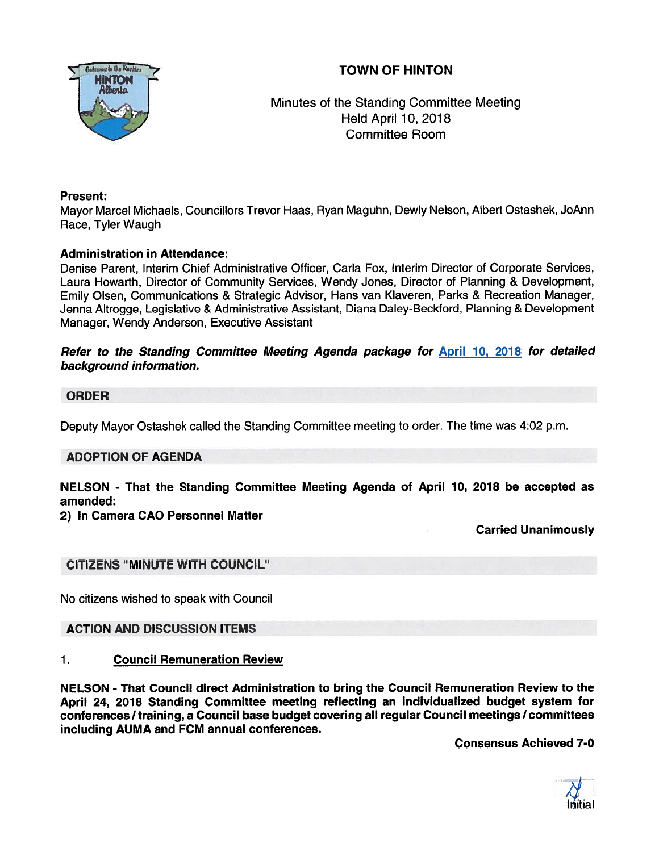# TOWN OF HINTON



Minutes of the Standing Committee Meeting Held April 10, 2018 Committee Room

## Present:

Mayor Marcel Michaels, Councillors Trevor Haas, Ryan Maguhn, Dewly Nelson, Albert Ostashek, JoAnn Race, Tyler Waugh

## Administration in Attendance:

Denise Parent, Interim Chief Administrative Officer, Carla Fox, Interim Director of Corporate Services, Laura Howarth, Director of Community Services, Wendy Jones, Director of Planning & Development, Emily Olsen, Communications & Strategic Advisor, Hans van Klaveren, Parks & Recreation Manager, Jenna Altrogge, Legislative & Administrative Assistant, Diana Daley-Beckford, Planning & Development Manager, Wendy Anderson, Executive Assistant

#### Refer to the Standing Committee Meeting Agenda package for April 10, 2018 for detailed background information.

## ORDER

Deputy Mayor Ostashek called the Standing Committee meeting to order. The time was 4:02 p.m.

# ADOPTION OF AGENDA

NELSON - That the Standing Committee Meeting Agenda of April 10, 2018 be accepted as amended:

#### 2) In Camera CAO Personnel Matter

Carried Unanimously

#### CITIZENS "MINUTE WITH COUNCIL"

No citizens wished to speak with Council

#### ACTION AND DISCUSSION ITEMS

#### 1. Council Remuneration Review

NELSON - That Council direct Administration to bring the Council Remuneration Review to the April 24, 2018 Standing Committee meeting reflecting an individualized budget system for conferences / training, a Council base budget covering all regular Council meetings / committees including AUMA and FCM annual conferences.

Consensus Achieved 7-0

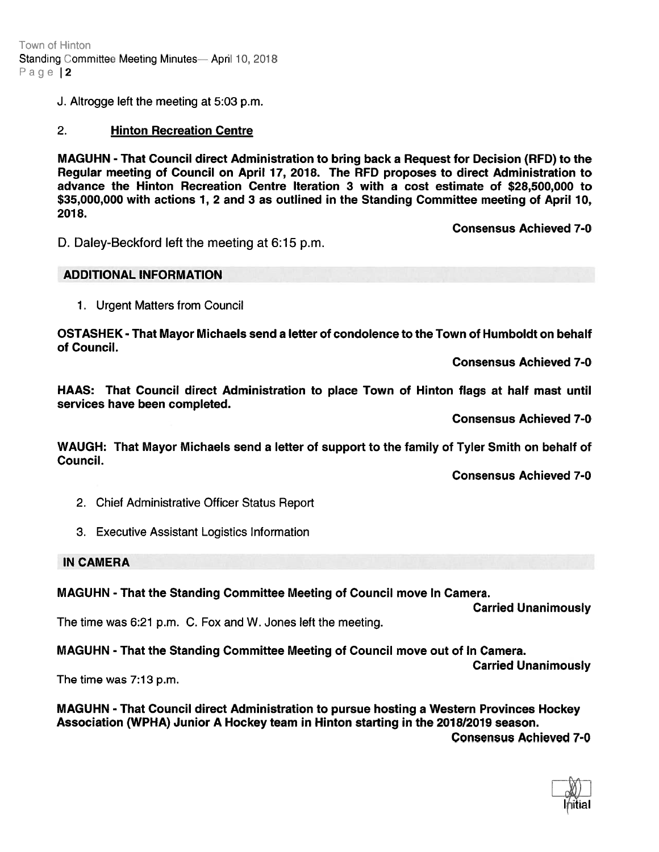Town of Hinton Standing Committee Meeting Minutes— April 10, 2018 Page |2

J. Altrogge left the meeting at 5:03 p.m.

#### 2. Hinton Recreation Centre

MAGUHN -That Council direct Administration to bring back <sup>a</sup> Request for Decision (RFD) to the Regular meeting of Council on April 17, 2078. The RFD proposes to direct Administration to advance the Hinton Recreation Centre Iteration 3 with <sup>a</sup> cost estimate of \$28,500,000 to \$35,000,000 with actions 1, 2 and 3 as outlined in the Standing Committee meeting of April 10, 2018.

Consensus Achieved 7-0

D. Daley-Beckford left the meeting at 6:15 p.m.

#### ADDITIONAL INFORMATION

1. Urgent Matters from Council

OSTASHEK - That Mayor Michaels send <sup>a</sup> letter of condolence to the Town of Humboldt on behalf of Council.

Consensus Achieved 7-0

HAAS: That Council direct Administration to place Town of Hinton flags at half mast until services have been completed.

Consensus Achieved 7-0

WAUGH: That Mayor Michaels send <sup>a</sup> letter of suppor<sup>t</sup> to the family of Tyler Smith on behalf of Council.

Consensus Achieved 7-0

- 2. Chief Administrative Officer Status Report
- 3. Executive Assistant Logistics Information

#### IN CAMERA

MAGUHN - That the Standing Committee Meeting of Council move In Camera.

Carried Unanimously

The time was 6:21 p.m. C. Fox and W. Jones left the meeting.

MAGUHN - That the Standing Committee Meeting of Council move out of In Camera.

Carried Unanimously

The time was 7:13 p.m.

MAGUHN - That Council direct Administration to pursue hosting <sup>a</sup> Western Provinces Hockey Association (WPHA) Junior A Hockey team in Hinton starting in the 2018/2019 season. Consensus Achieved 7-0